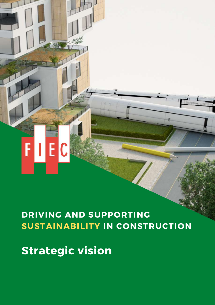# **DRIVING AND SUPPORTING**

## **SUSTAINABILITY IN CONSTRUCTION**

**Strategic vision**

FIEC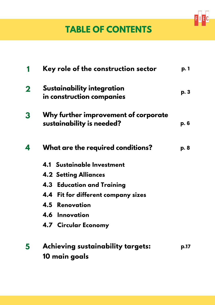

### **TABLE OF CONTENTS**

|             | Key role of the construction sector                               | p. 1 |
|-------------|-------------------------------------------------------------------|------|
| $\mathbf 2$ | Sustainability integration<br>in construction companies           | p. 3 |
| 3           | Why further improvement of corporate<br>sustainability is needed? | p. 6 |
| 4           | What are the required conditions?                                 | p. 8 |
|             | 4.1 Sustainable Investment                                        |      |
|             | <b>4.2 Setting Alliances</b>                                      |      |
|             | <b>4.3 Education and Training</b>                                 |      |
|             | 4.4 Fit for different company sizes                               |      |
|             | <b>4.5 Renovation</b>                                             |      |
|             | 4.6 Innovation                                                    |      |
|             | 4.7 Circular Economy                                              |      |
| 5           | <b>Achieving sustainability targets:</b>                          | p.17 |
|             | 10 main goals                                                     |      |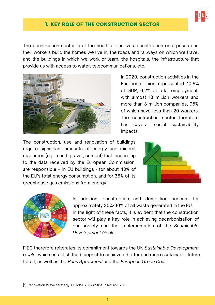

#### 1. KEY ROLE OF THE CONSTRUCTION SECTOR

<span id="page-2-0"></span>The construction sector is at the heart of our lives: construction enterprises and their workers build the homes we live in, the roads and railways on which we travel and the buildings in which we work or learn, the hospitals, the infrastructure that provide us with access to water, telecommunications, etc.



In 2020, construction activities in the European Union represented 10,6% of GDP, 6,2% of total employment, with almost 13 million workers and more than 3 million companies, 95% of which have less than 20 workers. The construction sector therefore has several social sustainability impacts.

The construction, use and renovation of buildings require significant amounts of energy and mineral resources (e.g., sand, gravel, cement) that, according to the data received by the European Commission, are responsible – in EU buildings - for about 40% of the EU's total energy consumption, and for 36% of its greenhouse gas emissions from energy<sup>1</sup>.





In addition, construction and demolition account for approximately 25%-30% of all waste generated in the EU. In the light of these facts, it is evident that the construction sector will play a key role in achieving decarbonisation of our society and the implementation of the *Sustainable Development Goals*.

FIEC therefore reiterates its commitment towards the UN *Sustainable Development Goals*, which establish the blueprint to achieve a better and more sustainable future for all, as well as the Paris Agreement and the *European Green Deal*.

[1] Renovation Wave Strategy, COM(2020)662 final, 14/10/2020.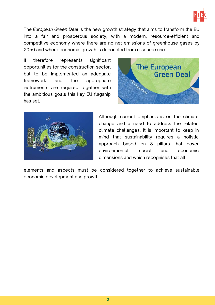

The *European Green Deal* is the new growth strategy that aims to transform the EU into a fair and prosperous society, with a modern, resource-efficient and competitive economy where there are no net emissions of greenhouse gases by 2050 and where economic growth is decoupled from resource use.

It therefore represents significant opportunities for the construction sector, but to be implemented an adequate framework and the appropriate instruments are required together with the ambitious goals this key EU flagship has set.





Although current emphasis is on the climate change and a need to address the related climate challenges, it is important to keep in mind that sustainability requires a holistic approach based on 3 pillars that cover environmental, social and economic dimensions and which recognises that all

elements and aspects must be considered together to achieve sustainable economic development and growth.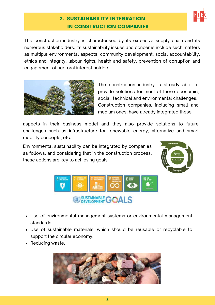

#### 2. SUSTAINABILITY INTEGRATION IN CONSTRUCTION COMPANIES

<span id="page-4-0"></span>The construction industry is characterised by its extensive supply chain and its numerous stakeholders. Its sustainability issues and concerns include such matters as multiple environmental aspects, community development, social accountability, ethics and integrity, labour rights, health and safety, prevention of corruption and engagement of sectoral interest holders.



The construction industry is already able to provide solutions for most of these economic, social, technical and environmental challenges. Construction companies, including small and medium ones, have already integrated these

aspects in their business model and they also provide solutions to future challenges such us infrastructure for renewable energy, alternative and smart mobility concepts, etc.

Environmental sustainability can be integrated by companies as follows, and considering that in the construction process, these actions are key to achieving goals:





- Use of environmental management systems or environmental management standards.
- Use of sustainable materials, which should be reusable or recyclable to support the circular economy.
- Reducing waste.

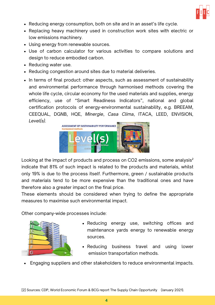

- Reducing energy consumption, both on site and in an asset's life cycle.
- Replacing heavy machinery used in construction work sites with electric or low emissions machinery.
- Using energy from renewable sources.
- Use of carbon calculator for various activities to compare solutions and design to reduce embodied carbon.
- Reducing water use.
- Reducing congestion around sites due to material deliveries.
- In terms of final product: other aspects, such as assessment of sustainability and environmental performance through harmonised methods covering the whole life cycle, circular economy for the used materials and supplies, energy efficiency, use of "Smart Readiness Indicators", national and global certification protocols of energy-environmental sustainability, e.g. BREEAM, CEEQUAL, DGNB, HQE, *Minergie*, *Casa Clima*, ITACA, LEED, ENVISION, *Level(s)*.



Looking at the impact of products and process on CO2 emissions, some analysis<sup>2</sup> indicate that 81% of such impact is related to the products and materials, whilst only 19% is due to the process itself. Furthermore, green / sustainable products and materials tend to be more expensive than the traditional ones and have therefore also a greater impact on the final price.

These elements should be considered when trying to define the appropriate measures to maximise such environmental impact.

Other company-wide processes include:



- Reducing energy use, switching offices and maintenance yards energy to renewable energy sources.
- Reducing business travel and using lower emission transportation methods.
- Engaging suppliers and other stakeholders to reduce environmental impacts.

[2] Sources: CDP, World Economic Forum & BCG report The Supply Chain Opportunity (January 2021).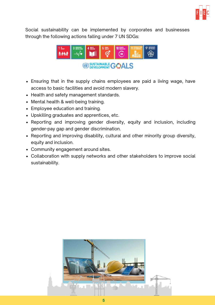

Social sustainability can be implemented by corporates and businesses through the following actions falling under 7 UN SDGs:



- Ensuring that in the supply chains employees are paid a living wage, have access to basic facilities and avoid modern slavery.
- Health and safety management standards.
- Mental health & well-being training.
- Employee education and training.
- Upskilling graduates and apprentices, etc.
- Reporting and improving gender diversity, equity and inclusion, including gender-pay gap and gender discrimination.
- Reporting and improving disability, cultural and other minority group diversity, equity and inclusion.
- Community engagement around sites.
- Collaboration with supply networks and other stakeholders to improve social sustainability.

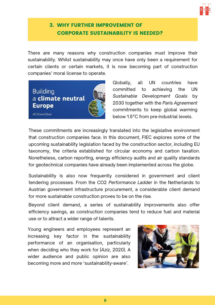

#### <span id="page-7-0"></span>3. WHY FURTHER IMPROVEMENT OF CORPORATE SUSTAINABILITY IS NEEDED?

There are many reasons why construction companies must improve their sustainability. Whilst sustainability may once have only been a requirement for certain clients or certain markets, it is now becoming part of construction companies' moral license to operate.



Globally, all UN countries have committed to achieving the UN *Sustainable Development Goals* by 2030 together with the *Paris Agreement* commitments to keep global warming below 1.5°C from pre-industrial levels.

These commitments are increasingly translated into the legislative environment that construction companies face. In this document, FIEC explores some of the upcoming sustainability legislation faced by the construction sector, including EU taxonomy, the criteria established for circular economy and carbon taxation. Nonetheless, carbon reporting, energy efficiency audits and air quality standards for geotechnical companies have already been implemented across the globe.

Sustainability is also now frequently considered in government and client tendering processes. From the CO2 *Performance Ladder* in the Netherlands to Austrian government infrastructure procurement, a considerable client demand for more sustainable construction proves to be on the rise.

Beyond client demand, a series of sustainability improvements also offer efficiency savings, as construction companies tend to reduce fuel and material use or to attract a wider range of talents.

Young engineers and employees represent an increasing key factor in the sustainability performance of an organisation, particularly when deciding who they work for (*Aziz*, 2020). A wider audience and public opinion are also becoming more and more 'sustainability-aware'.

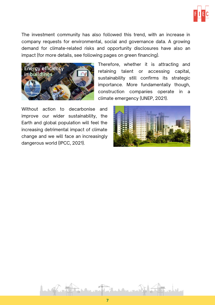

The investment community has also followed this trend, with an increase in company requests for environmental, social and governance data. A growing demand for climate-related risks and opportunity disclosures have also an impact (for more details, see following pages on green financing).



Therefore, whether it is attracting and retaining talent or accessing capital, sustainability still confirms its strategic importance. More fundamentally though, construction companies operate in a climate emergency (UNEP, 2021).

Without action to decarbonise and improve our wider sustainability, the Earth and global population will feel the increasing detrimental impact of climate change and we will face an increasingly dangerous world (IPCC, 2021).



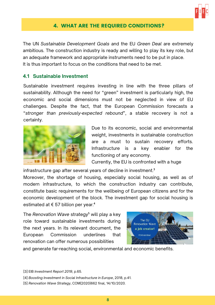

#### 4. WHAT ARE THE REQUIRED CONDITIONS?

<span id="page-9-0"></span>The UN *Sustainable Development Goals* and the EU *Green Deal* are extremely ambitious. The construction industry is ready and willing to play its key role, but an adequate framework and appropriate instruments need to be put in place. It is thus important to focus on the conditions that need to be met.

#### **4.1 Sustainable Investment**

Sustainable investment requires investing in line with the three pillars of sustainability. Although the need for "green" investment is particularly high, the economic and social dimensions must not be neglected in view of EU challenges. Despite the fact, that the European Commission forecasts a "*stronger than previously-expected rebound*", a stable recovery is not a certainty.



Due to its economic, social and environmental weight, investments in sustainable construction are a must to sustain recovery efforts. Infrastructure is a key enabler for the functioning of any economy.

Currently, the EU is confronted with a huge

infrastructure gap after several years of decline in investment.<sup>3</sup>

Moreover, the shortage of housing, especially social housing, as well as of modern infrastructure, to which the construction industry can contribute, constitute basic requirements for the wellbeing of European citizens and for the economic development of the block. The investment gap for social housing is estimated at  $\epsilon$  57 billion per year.<sup>4</sup>

The *Renovation Wave* strategy⁵ will play a key role toward sustainable investments during the next years. In its relevant document, the European Commission underlines that renovation can offer numerous possibilities



and generate far-reaching social, environmental and economic benefits.

[3] [EIB](https://www.eib.org/attachments/efs/economic_investment_report_2019_en.pdf) *[Investment](https://www.eib.org/attachments/efs/economic_investment_report_2019_en.pdf) Report 2019*, p.65.

[4] *Boosting Investment in Social [Infrastructure](https://ec.europa.eu/info/sites/info/files/economy-finance/dp074_en.pdf) in Europe*, [2018](https://ec.europa.eu/info/sites/info/files/economy-finance/dp074_en.pdf), p.41.

<sup>[5]</sup> *Renovation Wave Strategy*, COM(2020)662 final, 14/10/2020.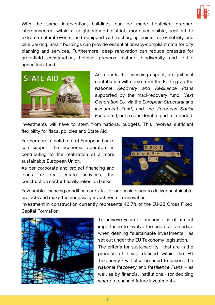

With the same intervention, buildings can be made healthier, greener, interconnected within a neighbourhood district, more accessible, resilient to extreme natural events, and equipped with recharging points for e-mobility and bike parking. Smart buildings can provide essential privacy-compliant data for city planning and services. Furthermore, deep renovation can reduce pressure for greenfield construction, helping preserve nature, biodiversity and fertile agricultural land.



As regards the financing aspect, a significant contribution will come from the EU (e.g via the *National Recovery and Resilience Plans* supported by the maxi-recovery fund, *Next Generation EU*, via the *European Structural and Investment Fund*, and the *European Social Fund*, etc.), but a considerable part of needed

investments will have to stem from national budgets. This involves sufficient flexibility for fiscal policies and State Aid.

Furthermore, a solid role of European banks can support the economic operators in contributing to the realisation of a more sustainable European Union.

As per corporate and project financing and loans for real estate activities, the construction sector heavily relies on banks.



Favourable financing conditions are vital for our businesses to deliver sustainable projects and make the necessary investments in innovation.

Investment in construction currently represents 43,7% of the EU-28 Gross Fixed Capital Formation.



To achieve value for money, it is of utmost importance to involve the sectoral expertise when defining "sustainable investments", as set out under the EU Taxonomy legislation.

The criteria for sustainability - that are in the process of being defined within the EU Taxonomy - will also be used to assess the *National Recovery and Resilience Plans* – as well as by financial institutions - for deciding where to channel future investments.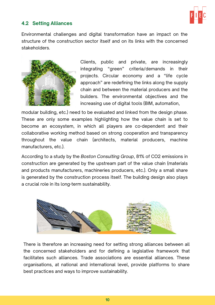

#### **4.2 Setting Alliances**

Environmental challenges and digital transformation have an impact on the structure of the construction sector itself and on its links with the concerned stakeholders.



Clients, public and private, are increasingly integrating "green" criteria/demands in their projects. Circular economy and a "life cycle approach" are redefining the links along the supply chain and between the material producers and the builders. The environmental objectives and the increasing use of digital tools (BIM, automation,

modular building, etc.) need to be evaluated and linked from the design phase. These are only some examples highlighting how the value chain is set to become an ecosystem, in which all players are co-dependent and their collaborative working method based on strong cooperation and transparency throughout the value chain (architects, material producers, machine manufacturers, etc.).

According to a study by the *Boston Consulting Group*, 81% of CO2 emissions in construction are generated by the upstream part of the value chain (materials and products manufacturers, machineries producers, etc.). Only a small share is generated by the construction process itself. The building design also plays a crucial role in its long-term sustainability.



There is therefore an increasing need for setting strong alliances between all the concerned stakeholders and for defining a legislative framework that facilitates such alliances. Trade associations are essential alliances. These organisations, at national and international level, provide platforms to share best practices and ways to improve sustainability.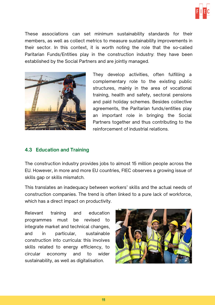

These associations can set minimum sustainability standards for their members, as well as collect metrics to measure sustainability improvements in their sector. In this context, it is worth noting the role that the so-called Paritarian Funds/Entities play in the construction industry: they have been established by the Social Partners and are jointly managed.



They develop activities, often fulfilling a complementary role to the existing public structures, mainly in the area of vocational training, health and safety, sectoral pensions and paid holiday schemes. Besides collective agreements, the Paritarian funds/entities play an important role in bringing the Social Partners together and thus contributing to the reinforcement of industrial relations.

#### **4.3 Education and Training**

The construction industry provides jobs to almost 15 million people across the EU. However, in more and more EU countries, FIEC observes a growing issue of skills gap or skills mismatch.

This translates an inadequacy between workers' skills and the actual needs of construction companies. The trend is often linked to a pure lack of workforce, which has a direct impact on productivity.

Relevant training and education programmes must be revised to integrate market and technical changes, and in particular, sustainable construction into curricula: this involves skills related to energy efficiency, to circular economy and to wider sustainability, as well as digitalisation.

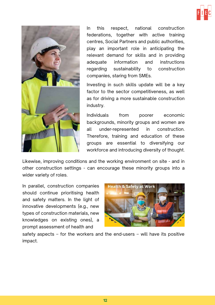



In this respect, national construction federations, together with active training centres, Social Partners and public authorities, play an important role in anticipating the relevant demand for skills and in providing adequate information and instructions regarding sustainability to construction companies, staring from SMEs.

Investing in such skills update will be a key factor to the sector competitiveness, as well as for driving a more sustainable construction industry.

Individuals from poorer economic backgrounds, minority groups and women are all under-represented in construction. Therefore, training and education of these groups are essential to diversifying our workforce and introducing diversity of thought.

Likewise, improving conditions and the working environment on site - and in other construction settings - can encourage these minority groups into a wider variety of roles.

In parallel, construction companies should continue prioritising health and safety matters. In the light of innovative developments (e.g., new types of construction materials, new knowledges on existing ones), a prompt assessment of health and



safety aspects – for the workers and the end-users – will have its positive impact.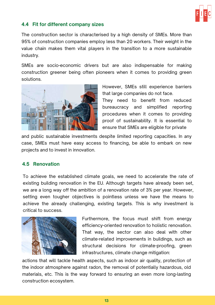

#### **4.4 Fit for different company sizes**

The construction sector is characterised by a high density of SMEs. More than 95% of construction companies employ less than 20 workers. Their weight in the value chain makes them vital players in the transition to a more sustainable industry.

SMEs are socio-economic drivers but are also indispensable for making construction greener being often pioneers when it comes to providing green solutions.



However, SMEs still experience barriers that large companies do not face.

They need to benefit from reduced bureaucracy and simplified reporting procedures when it comes to providing proof of sustainability. It is essential to ensure that SMEs are eligible for private

and public sustainable investments despite limited reporting capacities. In any case, SMEs must have easy access to financing, be able to embark on new projects and to invest in innovation.

#### **4.5 Renovation**

To achieve the established climate goals, we need to accelerate the rate of existing building renovation in the EU. Although targets have already been set, we are a long way off the ambition of a renovation rate of 3% per year. However, setting even tougher objectives is pointless unless we have the means to achieve the already challenging, existing targets. This is why investment is critical to success.



Furthermore, the focus must shift from energy efficiency-oriented renovation to holistic renovation. That way, the sector can also deal with other climate-related improvements in buildings, such as structural decisions for climate-proofing, green infrastructures, climate change mitigation:

actions that will tackle health aspects, such as indoor air quality, protection of the indoor atmosphere against radon, the removal of potentially hazardous, old materials, etc. This is the way forward to ensuring an even more long-lasting construction ecosystem.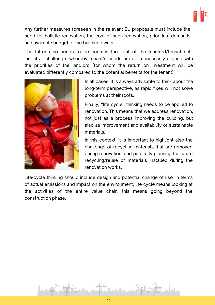

Any further measures foreseen in the relevant EU proposals must include the need for holistic renovation, the cost of such renovation, priorities, demands and available budget of the building owner.

The latter also needs to be seen in the light of the landlord/tenant split incentive challenge, whereby tenant's needs are not necessarily aligned with the priorities of the landlord (for whom the return on investment will be evaluated differently compared to the potential benefits for the tenant).



In all cases, it is always advisable to think about the long-term perspective, as rapid fixes will not solve problems at their roots.

Finally, "life cycle" thinking needs to be applied to renovation. This means that we address renovation, not just as a process improving the building, but also as improvement and availability of sustainable materials.

In this context, it is important to highlight also the challenge of recycling materials that are removed during renovation, and parallelly planning for future recycling/reuse of materials installed during the renovation works.

Life-cycle thinking should include design and potential change of use. In terms of actual emissions and impact on the environment, life cycle means looking at the activities of the entire value chain: this means going beyond the construction phase.

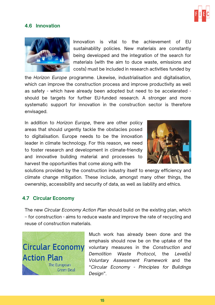

#### **4.6 Innovation**



Innovation is vital to the achievement of EU sustainability policies. New materials are constantly being developed and the integration of the search for materials (with the aim to duce waste, emissions and costs) must be included in research activities funded by

the *Horizon Europe* programme. Likewise, industrialisation and digitalisation, which can improve the construction process and improve productivity as well as safety - which have already been adopted but need to be accelerated should be targets for further EU-funded research. A stronger and more systematic support for innovation in the construction sector is therefore envisaged.

In addition to *Horizon Europe*, there are other policy areas that should urgently tackle the obstacles posed to digitalisation. Europe needs to be the innovation leader in climate technology. For this reason, we need to foster research and development in climate-friendly and innovative building material and processes to harvest the opportunities that come along with the



solutions provided by the construction industry itself to energy efficiency and climate change mitigation. These include, amongst many other things, the ownership, accessibility and security of data, as well as liability and ethics.

#### **4.7 Circular Economy**

The new *Circular Economy Action Plan* should build on the existing plan, which – for construction - aims to reduce waste and improve the rate of recycling and reuse of construction materials.



Much work has already been done and the emphasis should now be on the uptake of the voluntary measures in the *Construction and Demolition Waste Protocol*, the *Level(s) Voluntary Assessment Framework* and the "*Circular Economy* - *Principles for Buildings Design*".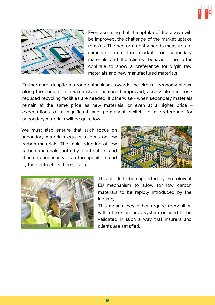



Even assuming that the uptake of the above will be improved, the challenge of the market uptake remains. The sector urgently needs measures to stimulate both the market for secondary materials and the clients' behavior. The latter continue to show a preference for virgin raw materials and new manufactured materials.

Furthermore, despite a strong enthusiasm towards the circular economy shown along the construction value chain, increased, improved, accessible and costreduced recycling facilities are needed. If otherwise - when secondary materials remain at the same price as new materials, or even at a higher price – expectations of a significant and permanent switch to a preference for secondary materials will be quite low.

We must also ensure that such focus on secondary materials equals a focus on low carbon materials. The rapid adoption of low carbon materials both by contractors and clients is necessary – via the specifiers and by the contractors themselves.





This needs to be supported by the relevant EU mechanism to allow for low carbon materials to be rapidly introduced by the industry.

This means they either require recognition within the standards system or need to be validated in such a way that insurers and clients are satisfied.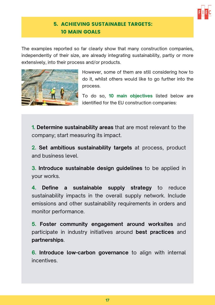

#### 5. ACHIEVING SUSTAINABLE TARGETS: 10 MAIN GOALS

<span id="page-18-0"></span>The examples reported so far clearly show that many construction companies, independently of their size, are already integrating sustainability, partly or more extensively, into their process and/or products.



However, some of them are still considering how to do it, whilst others would like to go further into the process.

To do so, **10 main objectives** listed below are identified for the EU construction companies:

**1. Determine sustainability areas** that are most relevant to the company; start measuring its impact.

**2. Set ambitious sustainability targets** at process, product and business level.

**3. Introduce sustainable design guidelines** to be applied in your works.

**4. Define a sustainable supply strategy** to reduce sustainability impacts in the overall supply network. Include emissions and other sustainability requirements in orders and monitor performance.

**5. Foster community engagement around worksites** and participate in industry initiatives around **best practices** and **partnerships**.

**6. Introduce low-carbon governance** to align with internal **incentives**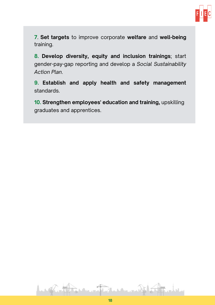

**7**. **Set targets** to improve corporate **welfare** and **well-being** training.

**8. Develop diversity, equity and inclusion trainings**; start gender-pay-gap reporting and develop a *Social Sustainability Action Plan*.

**9. Establish and apply health and safety management** standards.

**10. Strengthen employees' education and training,** upskilling graduates and apprentices.